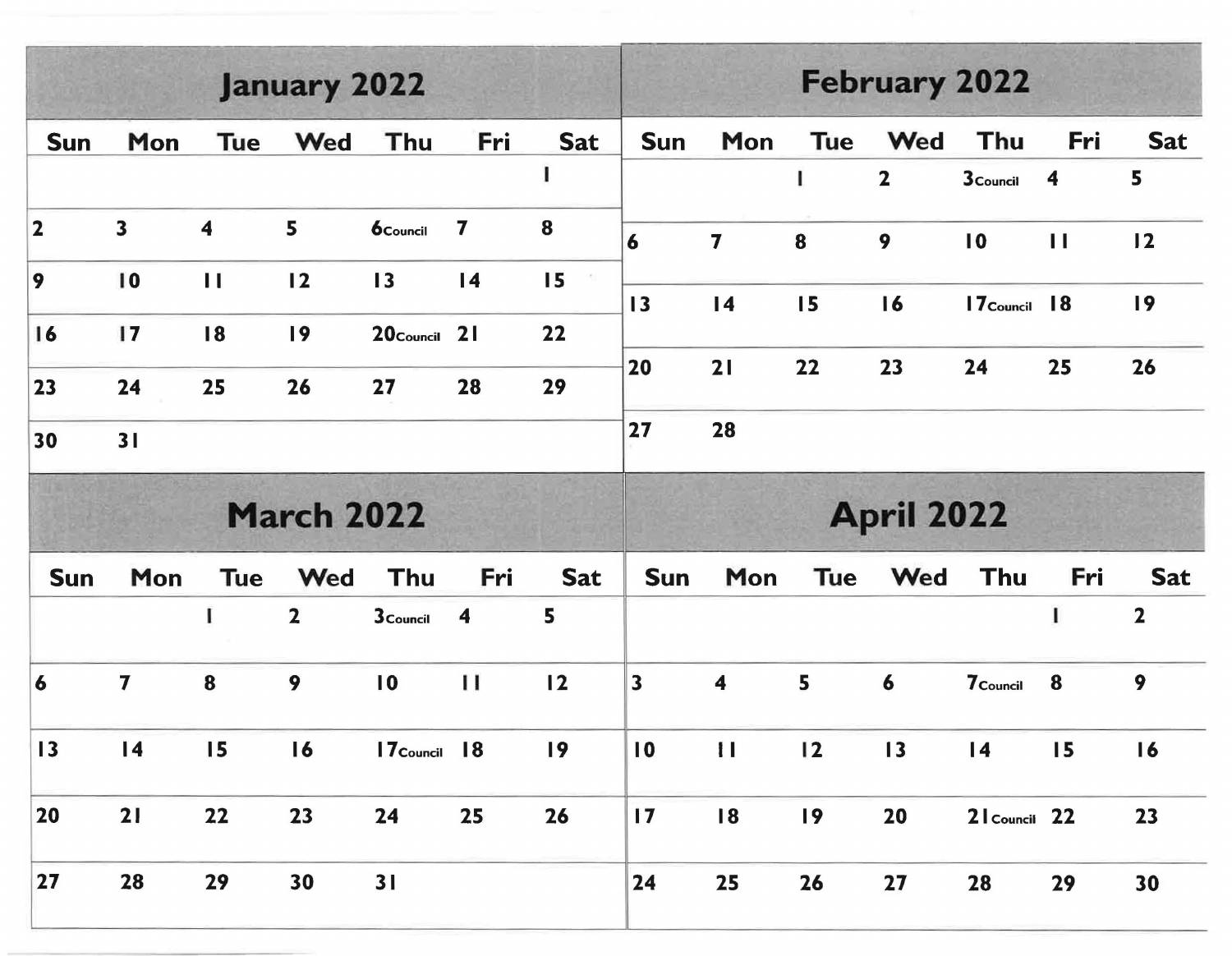| <b>January 2022</b> |                         |                         |                   |                          |                         |            |                         | <b>February 2022</b>    |                 |                   |                  |                  |                         |  |  |
|---------------------|-------------------------|-------------------------|-------------------|--------------------------|-------------------------|------------|-------------------------|-------------------------|-----------------|-------------------|------------------|------------------|-------------------------|--|--|
| <b>Sun</b>          | Mon                     | <b>Tue</b>              | Wed               | Thu                      | Fri                     | <b>Sat</b> | <b>Sun</b>              | Mon                     | <b>Tue</b>      | Wed               | Thu              | Fri              | <b>Sat</b>              |  |  |
|                     |                         |                         |                   |                          |                         |            |                         |                         | 1               | $\mathbf{2}$      | <b>3</b> Council | $\boldsymbol{4}$ | 5                       |  |  |
| $\vert$ 2           | $\overline{\mathbf{3}}$ | $\overline{\mathbf{4}}$ | 5                 | <b>6</b> Council         | $\overline{\mathbf{z}}$ | $\bf{8}$   | $\overline{\mathbf{6}}$ | $\overline{\mathbf{7}}$ | 8               | 9                 | $\overline{10}$  | $\mathbf{H}$     | 12                      |  |  |
| $ 9\rangle$         | 10                      | $\mathbf{H}$            | 12                | 13                       | $\overline{14}$         | 15         | $\overline{13}$         | $\overline{14}$         | 15              | 16                | 17 Council       | 18               | 19                      |  |  |
| 16                  | 17                      | 18                      | 19                | 20 <sub>Council</sub> 21 |                         | 22         |                         |                         |                 |                   |                  |                  |                         |  |  |
| 23                  | 24                      | 25                      | 26                | 27                       | 28                      | 29         | 20                      | 21                      | 22              | 23                | 24               | 25               | 26                      |  |  |
| 30                  | 31                      |                         |                   |                          |                         |            | 27                      | 28                      |                 |                   |                  |                  |                         |  |  |
|                     |                         |                         | <b>March 2022</b> |                          |                         |            |                         |                         |                 | <b>April 2022</b> |                  |                  |                         |  |  |
| <b>Sun</b>          | Mon                     | <b>Tue</b>              | Wed               | Thu                      | Fri                     | <b>Sat</b> | <b>Sun</b>              | Mon                     | <b>Tue</b>      | Wed               | Thu              | Fri              | <b>Sat</b>              |  |  |
|                     |                         | I                       | $\overline{2}$    | <b>3</b> Council         | $\boldsymbol{4}$        | 5          |                         |                         |                 |                   |                  | $\mathbf{I}$     | $\overline{\mathbf{2}}$ |  |  |
| 6                   | 7                       | 8                       | 9                 | $\overline{10}$          | $\mathbf{H}$            | 12         | $\vert$ 3               | $\overline{\mathbf{4}}$ | 5               | 6                 | 7 Council        | 8                | 9                       |  |  |
| 13                  | $\overline{14}$         | 15                      | 16                | $17$ Council $18$        |                         | 19         | $\overline{10}$         | $\mathbf{H}$            | $\overline{12}$ | 13                | $\overline{14}$  | 15               | 16                      |  |  |
| 20                  | 21                      | 22                      | 23                | 24                       | 25                      | 26         | $\overline{17}$         | 18                      | $\overline{19}$ | 20                | 21 Council 22    |                  | 23                      |  |  |
| $27$                | 28                      | 29                      | 30                | 31                       |                         |            | 24                      | 25                      | 26              | 27                | 28               | 29               | 30                      |  |  |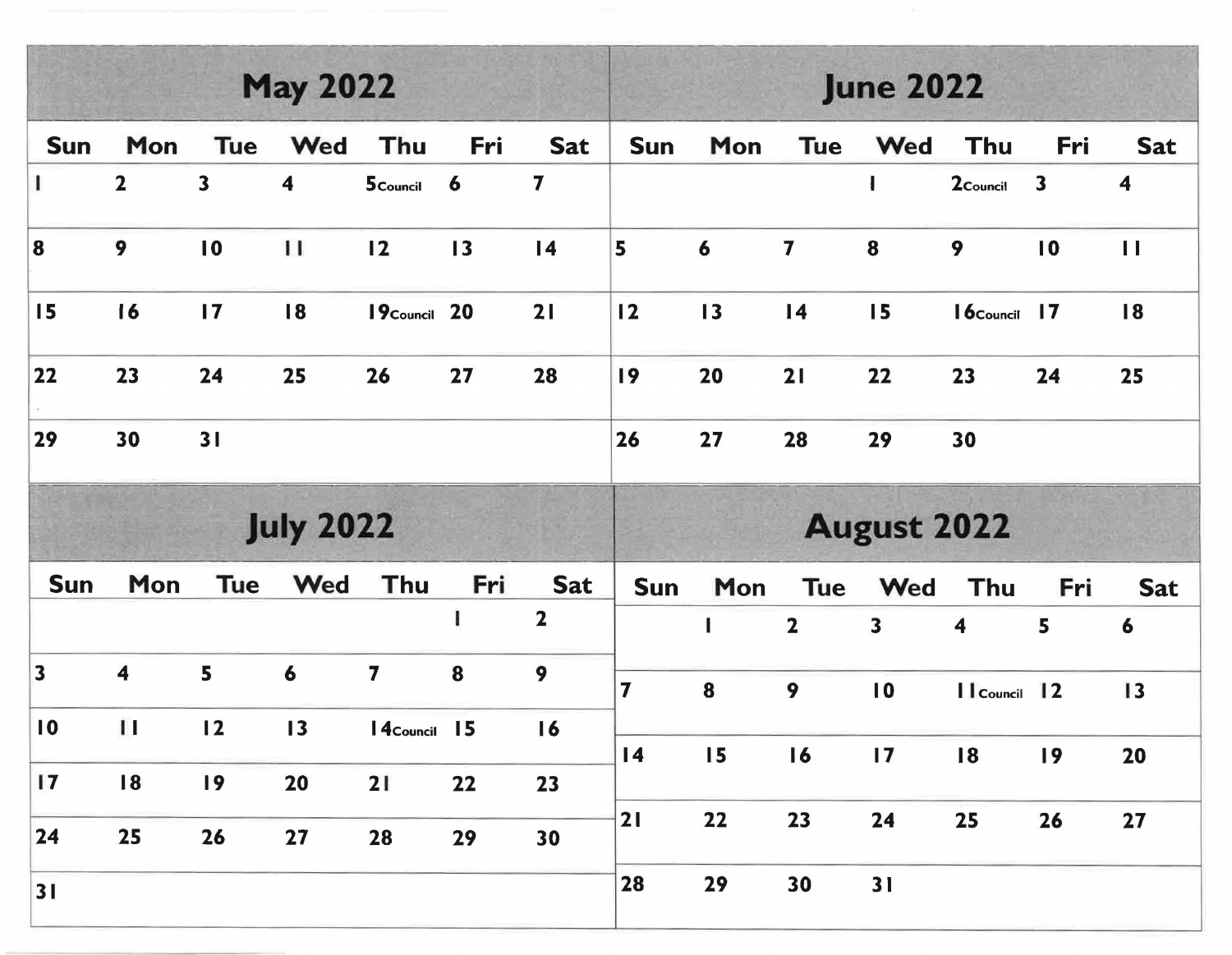|                         |                         |                         | <b>May 2022</b>      |                  |                 |                 | <b>June 2022</b> |                    |                         |                         |                      |                         |                  |  |  |
|-------------------------|-------------------------|-------------------------|----------------------|------------------|-----------------|-----------------|------------------|--------------------|-------------------------|-------------------------|----------------------|-------------------------|------------------|--|--|
| <b>Sun</b>              | Mon                     | <b>Tue</b>              | Wed                  | Thu              | Fri             | <b>Sat</b>      | <b>Sun</b>       | Mon                | <b>Tue</b>              | Wed                     | Thu                  | Fri                     | <b>Sat</b>       |  |  |
|                         | $\mathbf{2}$            | $\overline{\mathbf{3}}$ | $\blacktriangleleft$ | 5 Council 6      |                 | 7               |                  |                    |                         | $\mathbf{I}$            | 2 <sub>Council</sub> | $\overline{\mathbf{3}}$ | 4                |  |  |
| 8                       | 9                       | $\overline{10}$         | $\mathbf{H}$         | 12               | $\overline{13}$ | $\overline{14}$ | 5                | 6                  | 7                       | 8                       | 9                    | 10                      | $\mathbf{H}$     |  |  |
| 15                      | 16                      | $\overline{17}$         | 18                   | 19 Council 20    |                 | 21              | 12               | 13                 | $\overline{14}$         | 15                      | $16$ Council 17      |                         | 18               |  |  |
| $22$                    | 23                      | 24                      | 25                   | 26               | 27              | 28              | 19               | 20                 | 21                      | 22                      | 23                   | 24                      | 25               |  |  |
| 29                      | 30                      | 31                      |                      |                  |                 |                 | 26               | 27                 | 28                      | 29                      | 30                   |                         |                  |  |  |
|                         | <b>July 2022</b>        |                         |                      |                  |                 |                 |                  | <b>August 2022</b> |                         |                         |                      |                         |                  |  |  |
| <b>Sun</b>              | Mon                     | Tue                     | Wed                  | Thu              | Fri             | <b>Sat</b>      | <b>Sun</b>       | Mon                | Tue                     | Wed                     | Thu                  | Fri                     | <b>Sat</b>       |  |  |
|                         |                         |                         |                      |                  | L               | $\mathbf{2}$    |                  |                    | $\overline{\mathbf{2}}$ | $\overline{\mathbf{3}}$ | 4                    | 5                       | $\boldsymbol{6}$ |  |  |
| $\overline{\mathbf{3}}$ | $\overline{\mathbf{4}}$ | 5                       | 6                    | 7                | 8               | 9               | $\overline{7}$   | $\bf{8}$           | 9                       | $\overline{10}$         | Il Council 12        |                         | 13               |  |  |
| $\overline{10}$         | $\mathbf{H}$            | 12                      | $\overline{13}$      | <b>4</b> Council | 15              | 16              |                  |                    |                         |                         |                      |                         |                  |  |  |
| 17                      | 18                      | 19                      | 20                   | 21               | 22              | 23              | $\overline{14}$  | 15                 | 16                      | $\overline{17}$         | 18                   | 19                      | 20               |  |  |
| 24                      |                         |                         |                      |                  |                 |                 | 21               | 22                 | 23                      | 24                      | 25                   | 26                      | 27               |  |  |
|                         | 25                      | 26                      | 27                   | 28               | 29              | 30              |                  |                    |                         |                         |                      |                         |                  |  |  |
| 31                      |                         |                         |                      |                  |                 |                 | 28               | 29                 | 30                      | 31                      |                      |                         |                  |  |  |